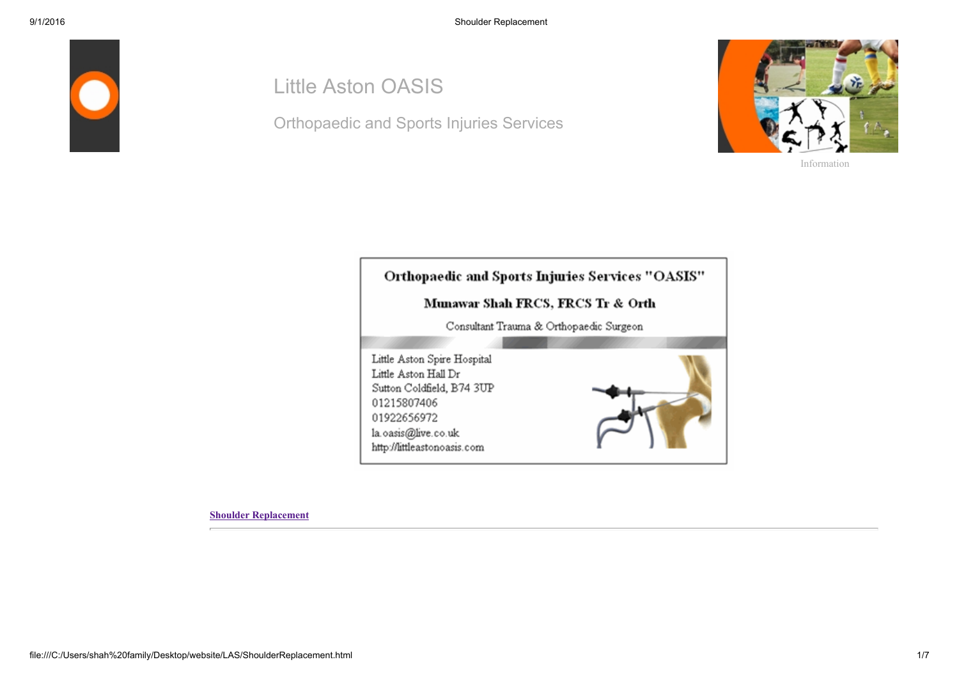

## Little Aston OASIS

Orthopaedic and Sports Injuries Services



[Information](file:///C:/Users/shah%20family/Desktop/website/LAS/aboutus.html)



[Shoulder Replacement](file:///C:/Users/shah%20family/Desktop/website/LAS/shoulderreplace.html)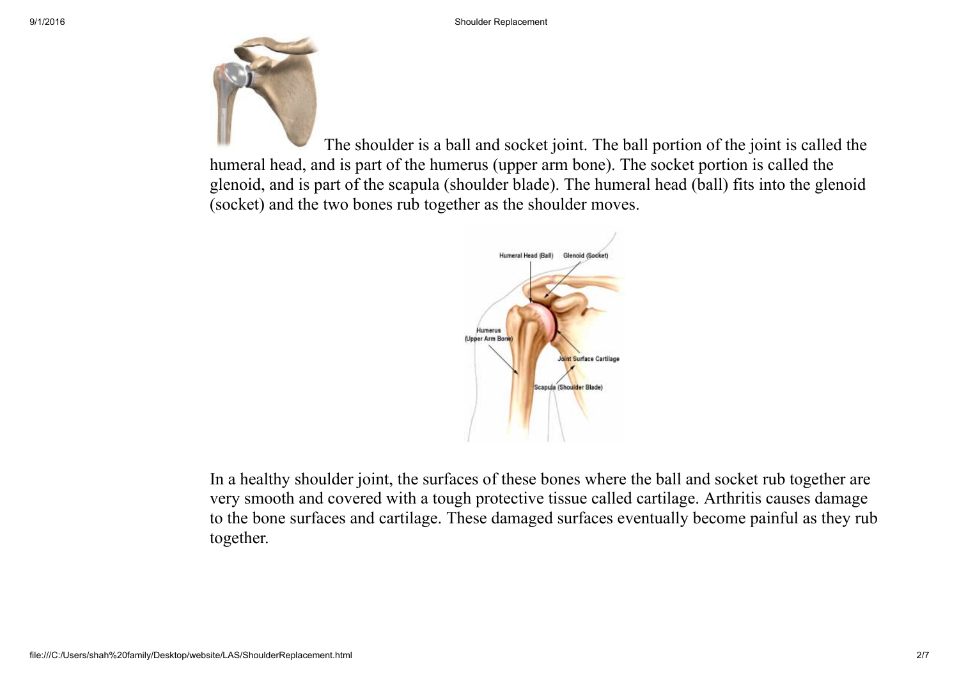

The shoulder is a ball and socket joint. The ball portion of the joint is called the humeral head, and is part of the humerus (upper arm bone). The socket portion is called the glenoid, and is part of the scapula (shoulder blade). The humeral head (ball) fits into the glenoid (socket) and the two bones rub together as the shoulder moves.



In a healthy shoulder joint, the surfaces of these bones where the ball and socket rub together are very smooth and covered with a tough protective tissue called cartilage. Arthritis causes damage to the bone surfaces and cartilage. These damaged surfaces eventually become painful as they rub together.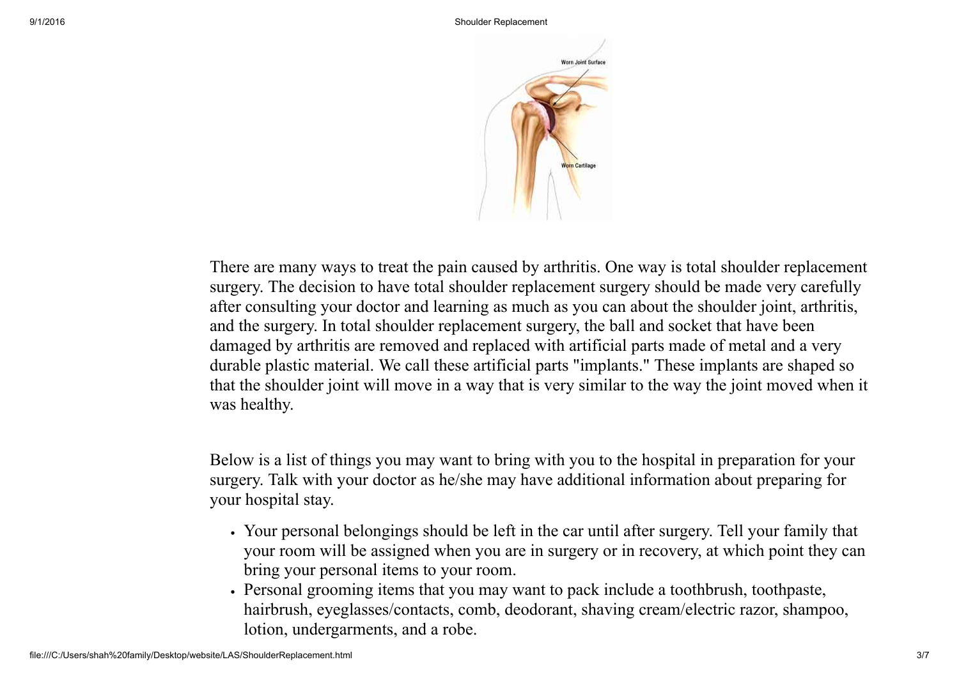



There are many ways to treat the pain caused by arthritis. One way is total shoulder replacement surgery. The decision to have total shoulder replacement surgery should be made very carefully after consulting your doctor and learning as much as you can about the shoulder joint, arthritis, and the surgery. In total shoulder replacement surgery, the ball and socket that have been damaged by arthritis are removed and replaced with artificial parts made of metal and a very durable plastic material. We call these artificial parts "implants." These implants are shaped so that the shoulder joint will move in a way that is very similar to the way the joint moved when it was healthy.

Below is a list of things you may want to bring with you to the hospital in preparation for your surgery. Talk with your doctor as he/she may have additional information about preparing for your hospital stay.

- Your personal belongings should be left in the car until after surgery. Tell your family that your room will be assigned when you are in surgery or in recovery, at which point they can bring your personal items to your room.
- Personal grooming items that you may want to pack include a toothbrush, toothpaste, hairbrush, eyeglasses/contacts, comb, deodorant, shaving cream/electric razor, shampoo, lotion, undergarments, and a robe.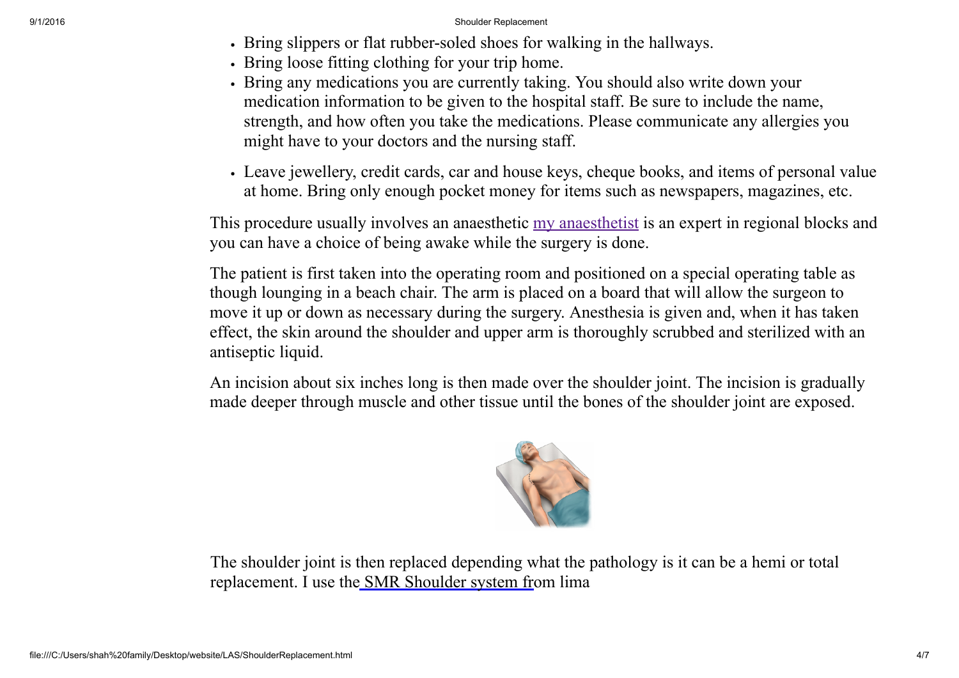## 9/1/2016 Shoulder Replacement

- If Dring slippers or flat rubber-soled shoes for walking in the hallways.
- Bring loose fitting clothing for your trip home.
- Bring any medications you are currently taking. You should also write down your medication information to be given to the hospital staff. Be sure to include the name, strength, and how often you take the medications. Please communicate any allergies you might have to your doctors and the nursing staff.
- Leave jewellery, credit cards, car and house keys, cheque books, and items of personal value at home. Bring only enough pocket money for items such as newspapers, magazines, etc.

This procedure usually involves an anaesthetic [my anaesthetist](file:///C:/Users/shah%20family/Desktop/website/LAS/Anaesthetist.html) is an expert in regional blocks and you can have a choice of being awake while the surgery is done.

The patient is first taken into the operating room and positioned on a special operating table as though lounging in a beach chair. The arm is placed on a board that will allow the surgeon to move it up or down as necessary during the surgery. Anesthesia is given and, when it has taken effect, the skin around the shoulder and upper arm is thoroughly scrubbed and sterilized with an antiseptic liquid.

An incision about six inches long is then made over the shoulder joint. The incision is gradually made deeper through muscle and other tissue until the bones of the shoulder joint are exposed.



The shoulder joint is then replaced depending what the pathology is it can be a hemi or total replacement. I use the [SMR Shoulder system fr](file:///C:/Users/shah%20family/Desktop/website/LAS/Documents/DePuyGlobal_AP_Surgical_Technique.pdf)om lima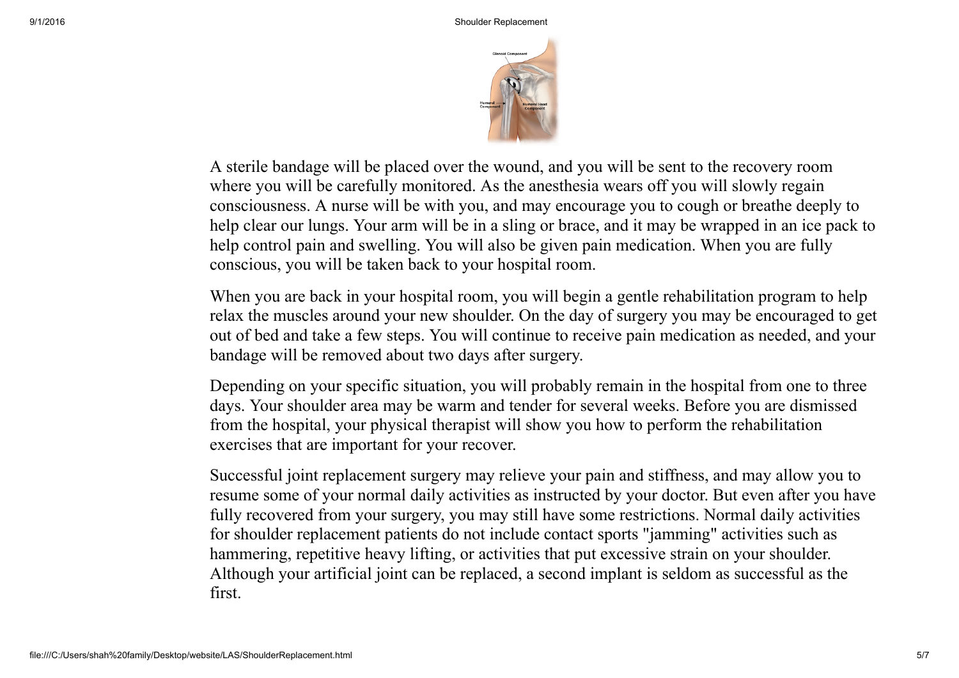

A sterile bandage will be placed over the wound, and you will be sent to the recovery room where you will be carefully monitored. As the anesthesia wears off you will slowly regain consciousness. A nurse will be with you, and may encourage you to cough or breathe deeply to help clear our lungs. Your arm will be in a sling or brace, and it may be wrapped in an ice pack to help control pain and swelling. You will also be given pain medication. When you are fully conscious, you will be taken back to your hospital room.

When you are back in your hospital room, you will begin a gentle rehabilitation program to help relax the muscles around your new shoulder. On the day of surgery you may be encouraged to get out of bed and take a few steps. You will continue to receive pain medication as needed, and your bandage will be removed about two days after surgery.

Depending on your specific situation, you will probably remain in the hospital from one to three days. Your shoulder area may be warm and tender for several weeks. Before you are dismissed from the hospital, your physical therapist will show you how to perform the rehabilitation exercises that are important for your recover.

Successful joint replacement surgery may relieve your pain and stiffness, and may allow you to resume some of your normal daily activities as instructed by your doctor. But even after you have fully recovered from your surgery, you may still have some restrictions. Normal daily activities for shoulder replacement patients do not include contact sports "jamming" activities such as hammering, repetitive heavy lifting, or activities that put excessive strain on your shoulder. Although your artificial joint can be replaced, a second implant is seldom as successful as the first.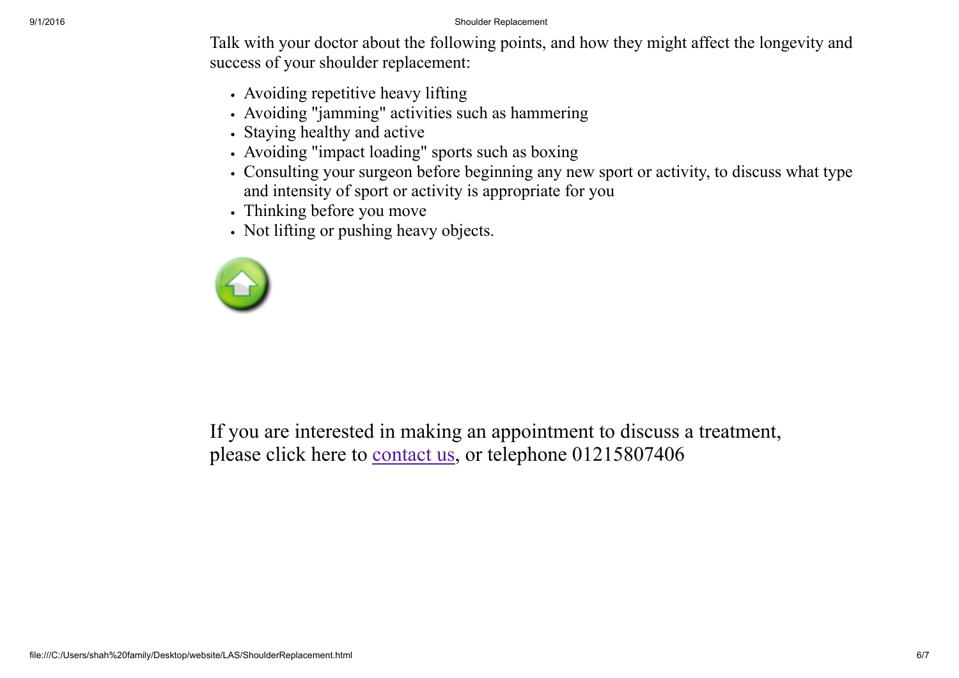Talk with your doctor about the following points, and how they might affect the longevity and success of your shoulder replacement:

- Avoiding repetitive heavy lifting
- Avoiding "jamming" activities such as hammering
- Staying healthy and active
- Avoiding "impact loading" sports such as boxing
- Consulting your surgeon before beginning any new sport or activity, to discuss what type and intensity of sport or activity is appropriate for you
- Thinking before you move
- Not lifting or pushing heavy objects.



If you are interested in making an appointment to discuss a treatment, please click here to [contact us,](file:///C:/Users/shah%20family/Desktop/website/LAS/ContactDetails.html) or telephone 01215807406